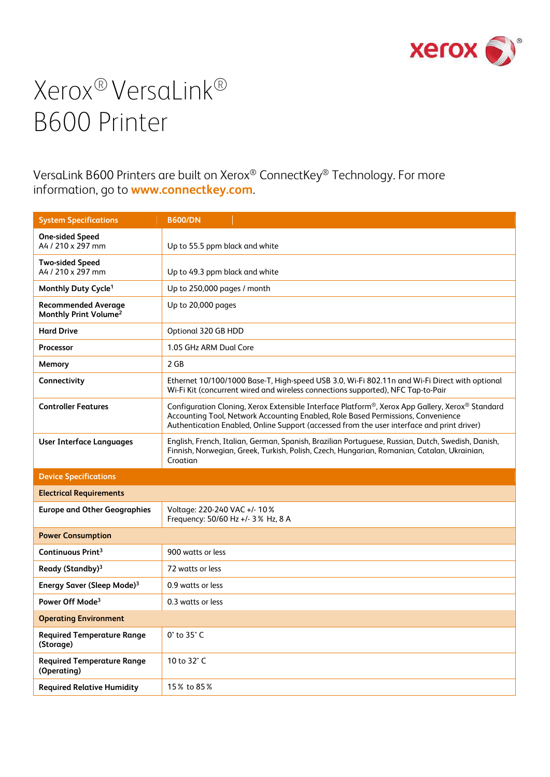

VersaLink B600 Printers are built on Xerox® ConnectKey® Technology. For more information, go to **www.connectkey.com**.

| <b>System Specifications</b>                                    | <b>B600/DN</b>                                                                                                                                                                                                                                                                                 |
|-----------------------------------------------------------------|------------------------------------------------------------------------------------------------------------------------------------------------------------------------------------------------------------------------------------------------------------------------------------------------|
| <b>One-sided Speed</b><br>A4 / 210 x 297 mm                     | Up to 55.5 ppm black and white                                                                                                                                                                                                                                                                 |
| <b>Two-sided Speed</b><br>A4 / 210 x 297 mm                     | Up to 49.3 ppm black and white                                                                                                                                                                                                                                                                 |
| Monthly Duty Cycle <sup>1</sup>                                 | Up to 250,000 pages / month                                                                                                                                                                                                                                                                    |
| <b>Recommended Average</b><br>Monthly Print Volume <sup>2</sup> | Up to 20,000 pages                                                                                                                                                                                                                                                                             |
| <b>Hard Drive</b>                                               | Optional 320 GB HDD                                                                                                                                                                                                                                                                            |
| <b>Processor</b>                                                | 1.05 GHz ARM Dual Core                                                                                                                                                                                                                                                                         |
| Memory                                                          | 2 GB                                                                                                                                                                                                                                                                                           |
| Connectivity                                                    | Ethernet 10/100/1000 Base-T, High-speed USB 3.0, Wi-Fi 802.11n and Wi-Fi Direct with optional<br>Wi-Fi Kit (concurrent wired and wireless connections supported), NFC Tap-to-Pair                                                                                                              |
| <b>Controller Features</b>                                      | Configuration Cloning, Xerox Extensible Interface Platform <sup>®</sup> , Xerox App Gallery, Xerox® Standard<br>Accounting Tool, Network Accounting Enabled, Role Based Permissions, Convenience<br>Authentication Enabled, Online Support (accessed from the user interface and print driver) |
| <b>User Interface Languages</b>                                 | English, French, Italian, German, Spanish, Brazilian Portuguese, Russian, Dutch, Swedish, Danish,<br>Finnish, Norwegian, Greek, Turkish, Polish, Czech, Hungarian, Romanian, Catalan, Ukrainian,<br>Croatian                                                                                   |
| <b>Device Specifications</b>                                    |                                                                                                                                                                                                                                                                                                |
| <b>Electrical Requirements</b>                                  |                                                                                                                                                                                                                                                                                                |
| <b>Europe and Other Geographies</b>                             | Voltage: 220-240 VAC +/- 10%<br>Frequency: 50/60 Hz +/- 3% Hz, 8 A                                                                                                                                                                                                                             |
| <b>Power Consumption</b>                                        |                                                                                                                                                                                                                                                                                                |
| Continuous Print <sup>3</sup>                                   | 900 watts or less                                                                                                                                                                                                                                                                              |
| Ready (Standby) <sup>3</sup>                                    | 72 watts or less                                                                                                                                                                                                                                                                               |
| Energy Saver (Sleep Mode) <sup>3</sup>                          | 0.9 watts or less                                                                                                                                                                                                                                                                              |
| Power Off Mode <sup>3</sup>                                     | 0.3 watts or less                                                                                                                                                                                                                                                                              |
| <b>Operating Environment</b>                                    |                                                                                                                                                                                                                                                                                                |
| <b>Required Temperature Range</b><br>(Storage)                  | 0° to 35° C                                                                                                                                                                                                                                                                                    |
| <b>Required Temperature Range</b><br>(Operating)                | 10 to 32° C                                                                                                                                                                                                                                                                                    |
| <b>Required Relative Humidity</b>                               | 15% to 85%                                                                                                                                                                                                                                                                                     |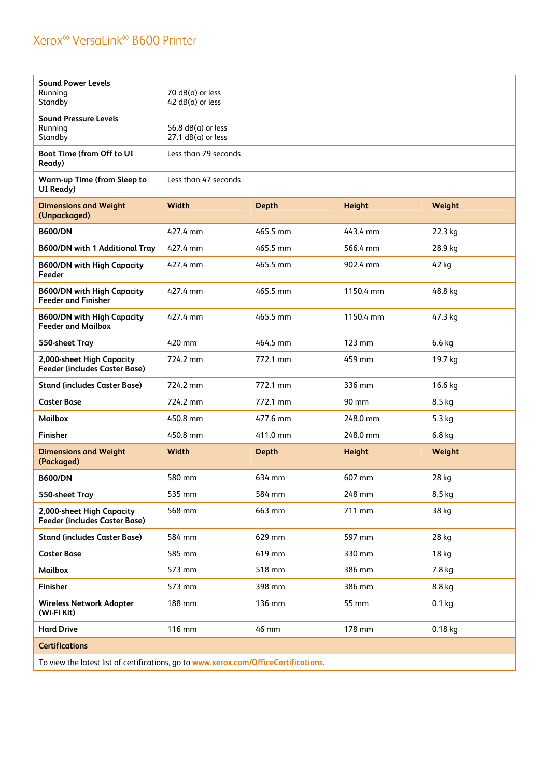| <b>Sound Power Levels</b><br>Running<br>Standby                   | 70 $dB(a)$ or less<br>$42 dB(a)$ or less         |              |                  |           |
|-------------------------------------------------------------------|--------------------------------------------------|--------------|------------------|-----------|
| <b>Sound Pressure Levels</b><br>Running<br>Standby                | 56.8 $dB(a)$ or less<br>$27.1$ dB( $a$ ) or less |              |                  |           |
| Boot Time (from Off to UI<br>Ready)                               | Less than 79 seconds                             |              |                  |           |
| <b>Warm-up Time (from Sleep to</b><br>UI Ready)                   | Less than 47 seconds                             |              |                  |           |
| <b>Dimensions and Weight</b><br>(Unpackaged)                      | <b>Width</b>                                     | <b>Depth</b> | <b>Height</b>    | Weight    |
| <b>B600/DN</b>                                                    | 427.4 mm                                         | 465.5 mm     | 443.4 mm         | 22.3 kg   |
| <b>B600/DN with 1 Additional Tray</b>                             | 427.4 mm                                         | 465.5 mm     | 566.4 mm         | 28.9 kg   |
| <b>B600/DN with High Capacity</b><br>Feeder                       | 427.4 mm                                         | 465.5 mm     | 902.4 mm         | 42 kg     |
| <b>B600/DN with High Capacity</b><br><b>Feeder and Finisher</b>   | 427.4 mm                                         | 465.5 mm     | 1150.4 mm        | 48.8 kg   |
| <b>B600/DN with High Capacity</b><br><b>Feeder and Mailbox</b>    | 427.4 mm                                         | 465.5 mm     | 1150.4 mm        | 47.3 kg   |
| 550-sheet Tray                                                    | 420 mm                                           | 464.5 mm     | $123 \text{ mm}$ | $6.6$ kg  |
| 2,000-sheet High Capacity<br><b>Feeder (includes Caster Base)</b> | 724.2 mm                                         | 772.1 mm     | 459 mm           | 19.7 kg   |
| <b>Stand (includes Caster Base)</b>                               | 724.2 mm                                         | 772.1 mm     | 336 mm           | 16.6 kg   |
| <b>Caster Base</b>                                                | 724.2 mm                                         | 772.1 mm     | 90 mm            | 8.5 kg    |
| <b>Mailbox</b>                                                    | 450.8 mm                                         | 477.6 mm     | 248.0 mm         | 5.3 kg    |
| Finisher                                                          | 450.8 mm                                         | 411.0 mm     | 248.0 mm         | $6.8$ kg  |
| <b>Dimensions and Weight</b><br>(Packaged)                        | <b>Width</b>                                     | <b>Depth</b> | <b>Height</b>    | Weight    |
| <b>B600/DN</b>                                                    | 580 mm                                           | 634 mm       | 607 mm           | 28 kg     |
| 550-sheet Tray                                                    | 535 mm                                           | 584 mm       | 248 mm           | 8.5 kg    |
| 2,000-sheet High Capacity<br><b>Feeder (includes Caster Base)</b> | 568 mm                                           | 663 mm       | 711 mm           | 38 kg     |
| <b>Stand (includes Caster Base)</b>                               | 584 mm                                           | 629 mm       | 597 mm           | 28 kg     |
| <b>Caster Base</b>                                                | 585 mm                                           | 619 mm       | 330 mm           | 18 kg     |
| <b>Mailbox</b>                                                    | 573 mm                                           | 518 mm       | 386 mm           | 7.8 kg    |
| Finisher                                                          | 573 mm                                           | 398 mm       | 386 mm           | 8.8 kg    |
| <b>Wireless Network Adapter</b><br>(Wi-Fi Kit)                    | 188 mm                                           | 136 mm       | 55 mm            | $0.1$ kg  |
|                                                                   |                                                  |              |                  |           |
| <b>Hard Drive</b>                                                 | 116 mm                                           | 46 mm        | 178 mm           | $0.18$ kg |

To view the latest list of certifications, go to **www.xerox.com/OfficeCertifications**.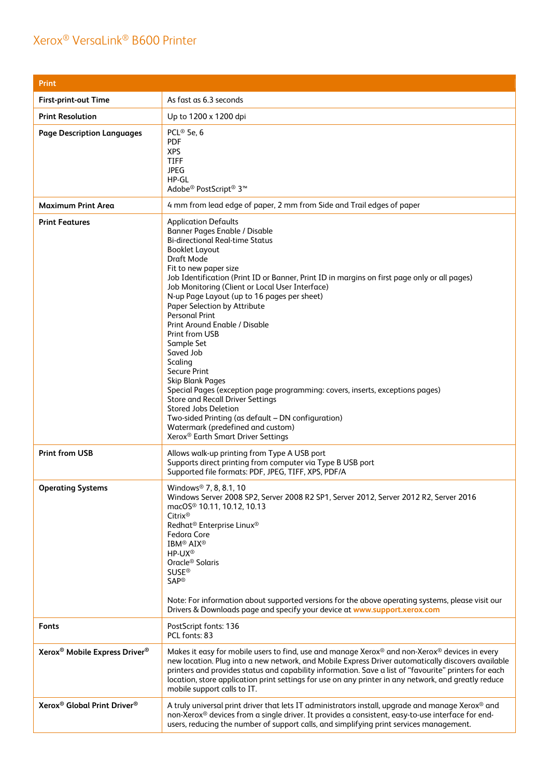| <b>Print</b>                                          |                                                                                                                                                                                                                                                                                                                                                                                                                                                                                                                                                                                                                                                                                                                                                                                                                                                                                                           |
|-------------------------------------------------------|-----------------------------------------------------------------------------------------------------------------------------------------------------------------------------------------------------------------------------------------------------------------------------------------------------------------------------------------------------------------------------------------------------------------------------------------------------------------------------------------------------------------------------------------------------------------------------------------------------------------------------------------------------------------------------------------------------------------------------------------------------------------------------------------------------------------------------------------------------------------------------------------------------------|
| <b>First-print-out Time</b>                           | As fast as 6.3 seconds                                                                                                                                                                                                                                                                                                                                                                                                                                                                                                                                                                                                                                                                                                                                                                                                                                                                                    |
| <b>Print Resolution</b>                               | Up to 1200 x 1200 dpi                                                                                                                                                                                                                                                                                                                                                                                                                                                                                                                                                                                                                                                                                                                                                                                                                                                                                     |
| <b>Page Description Languages</b>                     | PCL <sup>®</sup> 5e, 6<br><b>PDF</b><br><b>XPS</b><br><b>TIFF</b><br><b>JPEG</b><br>HP-GL<br>Adobe® PostScript® 3™                                                                                                                                                                                                                                                                                                                                                                                                                                                                                                                                                                                                                                                                                                                                                                                        |
| <b>Maximum Print Area</b>                             | 4 mm from lead edge of paper, 2 mm from Side and Trail edges of paper                                                                                                                                                                                                                                                                                                                                                                                                                                                                                                                                                                                                                                                                                                                                                                                                                                     |
| <b>Print Features</b>                                 | <b>Application Defaults</b><br><b>Banner Pages Enable / Disable</b><br><b>Bi-directional Real-time Status</b><br><b>Booklet Layout</b><br><b>Draft Mode</b><br>Fit to new paper size<br>Job Identification (Print ID or Banner, Print ID in margins on first page only or all pages)<br>Job Monitoring (Client or Local User Interface)<br>N-up Page Layout (up to 16 pages per sheet)<br><b>Paper Selection by Attribute</b><br><b>Personal Print</b><br>Print Around Enable / Disable<br>Print from USB<br>Sample Set<br>Saved Job<br>Scaling<br><b>Secure Print</b><br><b>Skip Blank Pages</b><br>Special Pages (exception page programming: covers, inserts, exceptions pages)<br><b>Store and Recall Driver Settings</b><br><b>Stored Jobs Deletion</b><br>Two-sided Printing (as default - DN configuration)<br>Watermark (predefined and custom)<br>Xerox <sup>®</sup> Earth Smart Driver Settings |
| <b>Print from USB</b>                                 | Allows walk-up printing from Type A USB port<br>Supports direct printing from computer via Type B USB port<br>Supported file formats: PDF, JPEG, TIFF, XPS, PDF/A                                                                                                                                                                                                                                                                                                                                                                                                                                                                                                                                                                                                                                                                                                                                         |
| <b>Operating Systems</b>                              | Windows <sup>®</sup> 7, 8, 8.1, 10<br>Windows Server 2008 SP2, Server 2008 R2 SP1, Server 2012, Server 2012 R2, Server 2016<br>macOS <sup>®</sup> 10.11, 10.12, 10.13<br>$Citrix^@$<br>Redhat <sup>®</sup> Enterprise Linux <sup>®</sup><br>Fedora Core<br>IBM <sup>®</sup> AIX <sup>®</sup><br>HP-UX <sup>®</sup><br>Oracle <sup>®</sup> Solaris<br><b>SUSE<sup>®</sup></b><br><b>SAP®</b><br>Note: For information about supported versions for the above operating systems, please visit our<br>Drivers & Downloads page and specify your device at www.support.xerox.com                                                                                                                                                                                                                                                                                                                              |
| <b>Fonts</b>                                          | PostScript fonts: 136<br>PCL fonts: 83                                                                                                                                                                                                                                                                                                                                                                                                                                                                                                                                                                                                                                                                                                                                                                                                                                                                    |
| Xerox <sup>®</sup> Mobile Express Driver <sup>®</sup> | Makes it easy for mobile users to find, use and manage Xerox® and non-Xerox® devices in every<br>new location. Plug into a new network, and Mobile Express Driver automatically discovers available<br>printers and provides status and capability information. Save a list of "favourite" printers for each<br>location, store application print settings for use on any printer in any network, and greatly reduce<br>mobile support calls to IT.                                                                                                                                                                                                                                                                                                                                                                                                                                                       |
| Xerox <sup>®</sup> Global Print Driver <sup>®</sup>   | A truly universal print driver that lets IT administrators install, upgrade and manage Xerox® and<br>non-Xerox® devices from a single driver. It provides a consistent, easy-to-use interface for end-<br>users, reducing the number of support calls, and simplifying print services management.                                                                                                                                                                                                                                                                                                                                                                                                                                                                                                                                                                                                         |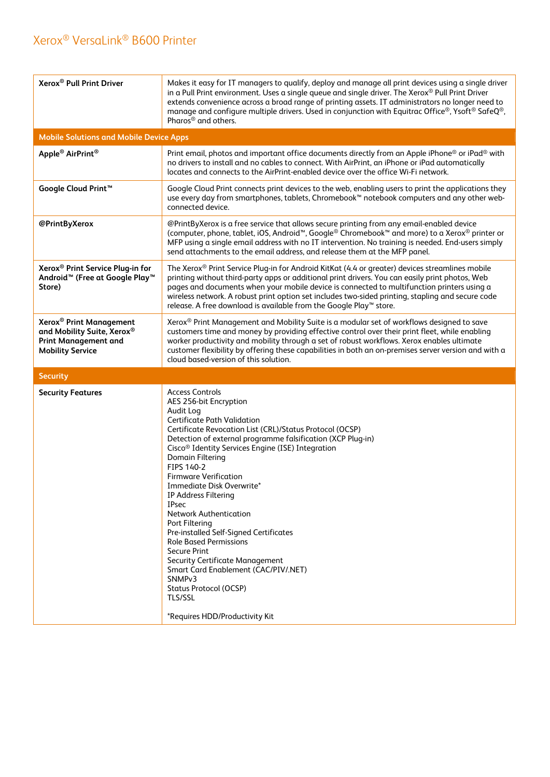| Xerox <sup>®</sup> Pull Print Driver                                                                                        | Makes it easy for IT managers to qualify, deploy and manage all print devices using a single driver<br>in a Pull Print environment. Uses a single queue and single driver. The Xerox® Pull Print Driver<br>extends convenience across a broad range of printing assets. IT administrators no longer need to<br>manage and configure multiple drivers. Used in conjunction with Equitrac Office®, Ysoft® SafeQ®,<br>Pharos <sup>®</sup> and others.                                                                                                                                                                                                                                                                                                                                       |
|-----------------------------------------------------------------------------------------------------------------------------|------------------------------------------------------------------------------------------------------------------------------------------------------------------------------------------------------------------------------------------------------------------------------------------------------------------------------------------------------------------------------------------------------------------------------------------------------------------------------------------------------------------------------------------------------------------------------------------------------------------------------------------------------------------------------------------------------------------------------------------------------------------------------------------|
| <b>Mobile Solutions and Mobile Device Apps</b>                                                                              |                                                                                                                                                                                                                                                                                                                                                                                                                                                                                                                                                                                                                                                                                                                                                                                          |
| Apple <sup>®</sup> AirPrint <sup>®</sup>                                                                                    | Print email, photos and important office documents directly from an Apple iPhone® or iPad® with<br>no drivers to install and no cables to connect. With AirPrint, an iPhone or iPad automatically<br>locates and connects to the AirPrint-enabled device over the office Wi-Fi network.                                                                                                                                                                                                                                                                                                                                                                                                                                                                                                  |
| Google Cloud Print <sup>™</sup>                                                                                             | Google Cloud Print connects print devices to the web, enabling users to print the applications they<br>use every day from smartphones, tablets, Chromebook <sup>™</sup> notebook computers and any other web-<br>connected device.                                                                                                                                                                                                                                                                                                                                                                                                                                                                                                                                                       |
| @PrintByXerox                                                                                                               | @PrintByXerox is a free service that allows secure printing from any email-enabled device<br>(computer, phone, tablet, iOS, Android <sup>™</sup> , Google® Chromebook <sup>™</sup> and more) to a Xerox® printer or<br>MFP using a single email address with no IT intervention. No training is needed. End-users simply<br>send attachments to the email address, and release them at the MFP panel.                                                                                                                                                                                                                                                                                                                                                                                    |
| Xerox <sup>®</sup> Print Service Plug-in for<br>Android <sup>™</sup> (Free at Google Play <sup>™</sup><br>Store)            | The Xerox® Print Service Plug-in for Android KitKat (4.4 or greater) devices streamlines mobile<br>printing without third-party apps or additional print drivers. You can easily print photos, Web<br>pages and documents when your mobile device is connected to multifunction printers using a<br>wireless network. A robust print option set includes two-sided printing, stapling and secure code<br>release. A free download is available from the Google Play™ store.                                                                                                                                                                                                                                                                                                              |
| Xerox <sup>®</sup> Print Management<br>and Mobility Suite, Xerox®<br><b>Print Management and</b><br><b>Mobility Service</b> | Xerox <sup>®</sup> Print Management and Mobility Suite is a modular set of workflows designed to save<br>customers time and money by providing effective control over their print fleet, while enabling<br>worker productivity and mobility through a set of robust workflows. Xerox enables ultimate<br>customer flexibility by offering these capabilities in both an on-premises server version and with a<br>cloud based-version of this solution.                                                                                                                                                                                                                                                                                                                                   |
| <b>Security</b>                                                                                                             |                                                                                                                                                                                                                                                                                                                                                                                                                                                                                                                                                                                                                                                                                                                                                                                          |
| <b>Security Features</b>                                                                                                    | <b>Access Controls</b><br>AES 256-bit Encryption<br>Audit Log<br><b>Certificate Path Validation</b><br>Certificate Revocation List (CRL)/Status Protocol (OCSP)<br>Detection of external programme falsification (XCP Plug-in)<br>Cisco <sup>®</sup> Identity Services Engine (ISE) Integration<br><b>Domain Filtering</b><br>FIPS 140-2<br><b>Firmware Verification</b><br>Immediate Disk Overwrite*<br>IP Address Filtering<br><b>IPsec</b><br><b>Network Authentication</b><br>Port Filtering<br>Pre-installed Self-Signed Certificates<br><b>Role Based Permissions</b><br><b>Secure Print</b><br><b>Security Certificate Management</b><br>Smart Card Enablement (CAC/PIV/.NET)<br>SNMP <sub>v3</sub><br><b>Status Protocol (OCSP)</b><br>TLS/SSL<br>*Requires HDD/Productivity Kit |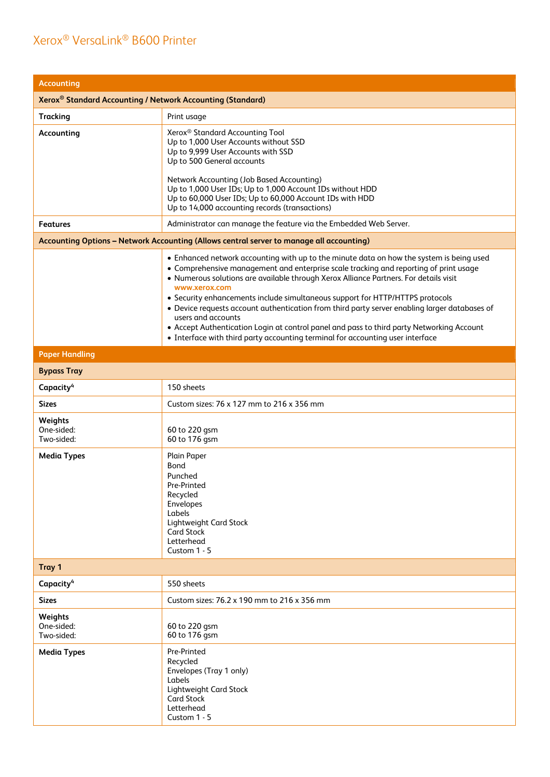| <b>Accounting</b>                                                      |                                                                                                                                                                                                                                                                                                                                                                                                                                                                                                                                                                                                                                                                                    |  |  |
|------------------------------------------------------------------------|------------------------------------------------------------------------------------------------------------------------------------------------------------------------------------------------------------------------------------------------------------------------------------------------------------------------------------------------------------------------------------------------------------------------------------------------------------------------------------------------------------------------------------------------------------------------------------------------------------------------------------------------------------------------------------|--|--|
| Xerox <sup>®</sup> Standard Accounting / Network Accounting (Standard) |                                                                                                                                                                                                                                                                                                                                                                                                                                                                                                                                                                                                                                                                                    |  |  |
| <b>Tracking</b>                                                        | Print usage                                                                                                                                                                                                                                                                                                                                                                                                                                                                                                                                                                                                                                                                        |  |  |
| Accounting                                                             | Xerox <sup>®</sup> Standard Accounting Tool<br>Up to 1,000 User Accounts without SSD<br>Up to 9,999 User Accounts with SSD<br>Up to 500 General accounts<br>Network Accounting (Job Based Accounting)<br>Up to 1,000 User IDs; Up to 1,000 Account IDs without HDD<br>Up to 60,000 User IDs; Up to 60,000 Account IDs with HDD<br>Up to 14,000 accounting records (transactions)                                                                                                                                                                                                                                                                                                   |  |  |
| Features                                                               | Administrator can manage the feature via the Embedded Web Server.                                                                                                                                                                                                                                                                                                                                                                                                                                                                                                                                                                                                                  |  |  |
|                                                                        | Accounting Options - Network Accounting (Allows central server to manage all accounting)                                                                                                                                                                                                                                                                                                                                                                                                                                                                                                                                                                                           |  |  |
|                                                                        | . Enhanced network accounting with up to the minute data on how the system is being used<br>• Comprehensive management and enterprise scale tracking and reporting of print usage<br>• Numerous solutions are available through Xerox Alliance Partners. For details visit<br>www.xerox.com<br>• Security enhancements include simultaneous support for HTTP/HTTPS protocols<br>• Device requests account authentication from third party server enabling larger databases of<br>users and accounts<br>• Accept Authentication Login at control panel and pass to third party Networking Account<br>• Interface with third party accounting terminal for accounting user interface |  |  |
| <b>Paper Handling</b>                                                  |                                                                                                                                                                                                                                                                                                                                                                                                                                                                                                                                                                                                                                                                                    |  |  |
| <b>Bypass Tray</b>                                                     |                                                                                                                                                                                                                                                                                                                                                                                                                                                                                                                                                                                                                                                                                    |  |  |
| Capacity <sup>4</sup>                                                  | 150 sheets                                                                                                                                                                                                                                                                                                                                                                                                                                                                                                                                                                                                                                                                         |  |  |
| <b>Sizes</b>                                                           | Custom sizes: 76 x 127 mm to 216 x 356 mm                                                                                                                                                                                                                                                                                                                                                                                                                                                                                                                                                                                                                                          |  |  |
| Weights<br>One-sided:<br>Two-sided:                                    | 60 to 220 gsm<br>60 to 176 gsm                                                                                                                                                                                                                                                                                                                                                                                                                                                                                                                                                                                                                                                     |  |  |
| <b>Media Types</b>                                                     | Plain Paper<br>Bond<br>Punched<br>Pre-Printed<br>Recycled<br>Envelopes<br>Labels<br><b>Lightweight Card Stock</b><br><b>Card Stock</b><br>Letterhead<br>Custom 1 - 5                                                                                                                                                                                                                                                                                                                                                                                                                                                                                                               |  |  |
| Tray 1                                                                 |                                                                                                                                                                                                                                                                                                                                                                                                                                                                                                                                                                                                                                                                                    |  |  |
| Capacity <sup>4</sup>                                                  | 550 sheets                                                                                                                                                                                                                                                                                                                                                                                                                                                                                                                                                                                                                                                                         |  |  |
| <b>Sizes</b>                                                           | Custom sizes: 76.2 x 190 mm to 216 x 356 mm                                                                                                                                                                                                                                                                                                                                                                                                                                                                                                                                                                                                                                        |  |  |
| Weights<br>One-sided:<br>Two-sided:                                    | 60 to 220 gsm<br>60 to 176 gsm                                                                                                                                                                                                                                                                                                                                                                                                                                                                                                                                                                                                                                                     |  |  |
| <b>Media Types</b>                                                     | Pre-Printed<br>Recycled<br>Envelopes (Tray 1 only)<br>Labels<br>Lightweight Card Stock<br><b>Card Stock</b><br>Letterhead<br>Custom $1 - 5$                                                                                                                                                                                                                                                                                                                                                                                                                                                                                                                                        |  |  |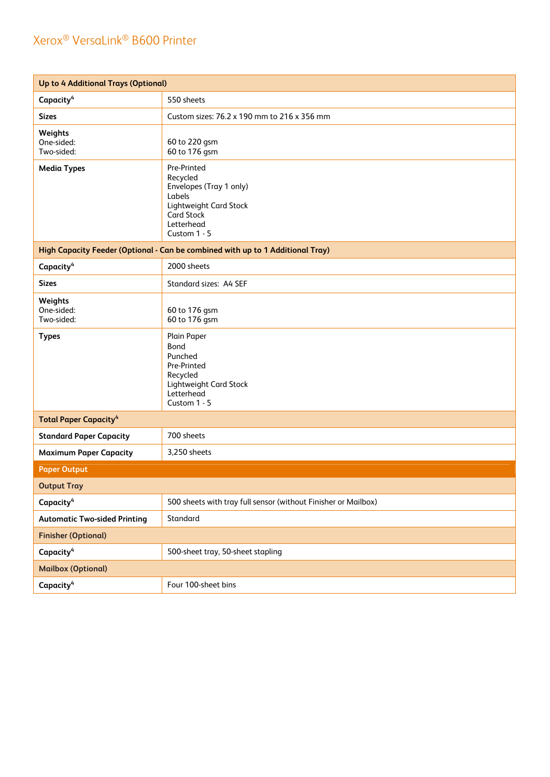| Up to 4 Additional Trays (Optional)                                            |                                                                                                                                                  |  |
|--------------------------------------------------------------------------------|--------------------------------------------------------------------------------------------------------------------------------------------------|--|
| Capacity <sup>4</sup>                                                          | 550 sheets                                                                                                                                       |  |
| <b>Sizes</b>                                                                   | Custom sizes: 76.2 x 190 mm to 216 x 356 mm                                                                                                      |  |
| Weights<br>One-sided:<br>Two-sided:                                            | 60 to 220 gsm<br>60 to 176 gsm                                                                                                                   |  |
| <b>Media Types</b>                                                             | Pre-Printed<br>Recycled<br>Envelopes (Tray 1 only)<br>Labels<br><b>Lightweight Card Stock</b><br><b>Card Stock</b><br>Letterhead<br>Custom 1 - 5 |  |
| High Capacity Feeder (Optional - Can be combined with up to 1 Additional Tray) |                                                                                                                                                  |  |
| Capacity <sup>4</sup>                                                          | 2000 sheets                                                                                                                                      |  |
| <b>Sizes</b>                                                                   | Standard sizes: A4 SEF                                                                                                                           |  |
| Weights<br>One-sided:<br>Two-sided:                                            | 60 to 176 gsm<br>60 to 176 gsm                                                                                                                   |  |
| <b>Types</b>                                                                   | Plain Paper<br>Bond<br>Punched<br>Pre-Printed<br>Recycled<br><b>Lightweight Card Stock</b><br>Letterhead<br>Custom 1 - 5                         |  |
| <b>Total Paper Capacity<sup>4</sup></b>                                        |                                                                                                                                                  |  |
| <b>Standard Paper Capacity</b>                                                 | 700 sheets                                                                                                                                       |  |
| <b>Maximum Paper Capacity</b>                                                  | 3,250 sheets                                                                                                                                     |  |
| <b>Paper Output</b>                                                            |                                                                                                                                                  |  |
| <b>Output Tray</b>                                                             |                                                                                                                                                  |  |
| Capacity <sup>4</sup>                                                          | 500 sheets with tray full sensor (without Finisher or Mailbox)                                                                                   |  |
| <b>Automatic Two-sided Printing</b>                                            | Standard                                                                                                                                         |  |
| <b>Finisher (Optional)</b>                                                     |                                                                                                                                                  |  |
| Capacity <sup>4</sup>                                                          | 500-sheet tray, 50-sheet stapling                                                                                                                |  |
| <b>Mailbox (Optional)</b>                                                      |                                                                                                                                                  |  |
| Capacity <sup>4</sup>                                                          | Four 100-sheet bins                                                                                                                              |  |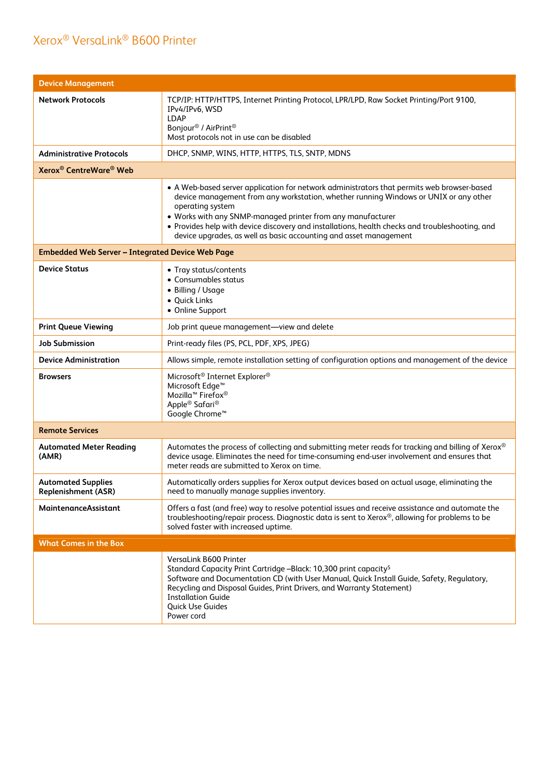| <b>Device Management</b>                                |                                                                                                                                                                                                                                                                                                                                                                                                                                               |
|---------------------------------------------------------|-----------------------------------------------------------------------------------------------------------------------------------------------------------------------------------------------------------------------------------------------------------------------------------------------------------------------------------------------------------------------------------------------------------------------------------------------|
| <b>Network Protocols</b>                                | TCP/IP: HTTP/HTTPS, Internet Printing Protocol, LPR/LPD, Raw Socket Printing/Port 9100,<br>IPv4/IPv6, WSD<br><b>LDAP</b><br>Bonjour <sup>®</sup> / AirPrint <sup>®</sup><br>Most protocols not in use can be disabled                                                                                                                                                                                                                         |
| Administrative Protocols                                | DHCP, SNMP, WINS, HTTP, HTTPS, TLS, SNTP, MDNS                                                                                                                                                                                                                                                                                                                                                                                                |
| Xerox <sup>®</sup> CentreWare <sup>®</sup> Web          |                                                                                                                                                                                                                                                                                                                                                                                                                                               |
|                                                         | • A Web-based server application for network administrators that permits web browser-based<br>device management from any workstation, whether running Windows or UNIX or any other<br>operating system<br>. Works with any SNMP-managed printer from any manufacturer<br>• Provides help with device discovery and installations, health checks and troubleshooting, and<br>device upgrades, as well as basic accounting and asset management |
| <b>Embedded Web Server - Integrated Device Web Page</b> |                                                                                                                                                                                                                                                                                                                                                                                                                                               |
| <b>Device Status</b>                                    | • Tray status/contents<br>• Consumables status<br>• Billing / Usage<br>• Quick Links<br>• Online Support                                                                                                                                                                                                                                                                                                                                      |
| <b>Print Queue Viewing</b>                              | Job print queue management-view and delete                                                                                                                                                                                                                                                                                                                                                                                                    |
| <b>Job Submission</b>                                   | Print-ready files (PS, PCL, PDF, XPS, JPEG)                                                                                                                                                                                                                                                                                                                                                                                                   |
| <b>Device Administration</b>                            | Allows simple, remote installation setting of configuration options and management of the device                                                                                                                                                                                                                                                                                                                                              |
| <b>Browsers</b>                                         | Microsoft <sup>®</sup> Internet Explorer <sup>®</sup><br>Microsoft Edge <sup>™</sup><br>Mozilla <sup>™</sup> Firefox®<br>Apple <sup>®</sup> Safari <sup>®</sup><br>Google Chrome <sup>™</sup>                                                                                                                                                                                                                                                 |
| <b>Remote Services</b>                                  |                                                                                                                                                                                                                                                                                                                                                                                                                                               |
| <b>Automated Meter Reading</b><br>(AMR)                 | Automates the process of collecting and submitting meter reads for tracking and billing of Xerox®<br>device usage. Eliminates the need for time-consuming end-user involvement and ensures that<br>meter reads are submitted to Xerox on time.                                                                                                                                                                                                |
| <b>Automated Supplies</b><br>Replenishment (ASR)        | Automatically orders supplies for Xerox output devices based on actual usage, eliminating the<br>need to manually manage supplies inventory.                                                                                                                                                                                                                                                                                                  |
| MaintenanceAssistant                                    | Offers a fast (and free) way to resolve potential issues and receive assistance and automate the<br>troubleshooting/repair process. Diagnostic data is sent to Xerox®, allowing for problems to be<br>solved faster with increased uptime.                                                                                                                                                                                                    |
| <b>What Comes in the Box</b>                            |                                                                                                                                                                                                                                                                                                                                                                                                                                               |
|                                                         | VersaLink B600 Printer<br>Standard Capacity Print Cartridge -Black: 10,300 print capacity <sup>5</sup><br>Software and Documentation CD (with User Manual, Quick Install Guide, Safety, Regulatory,<br>Recycling and Disposal Guides, Print Drivers, and Warranty Statement)<br><b>Installation Guide</b><br><b>Quick Use Guides</b><br>Power cord                                                                                            |